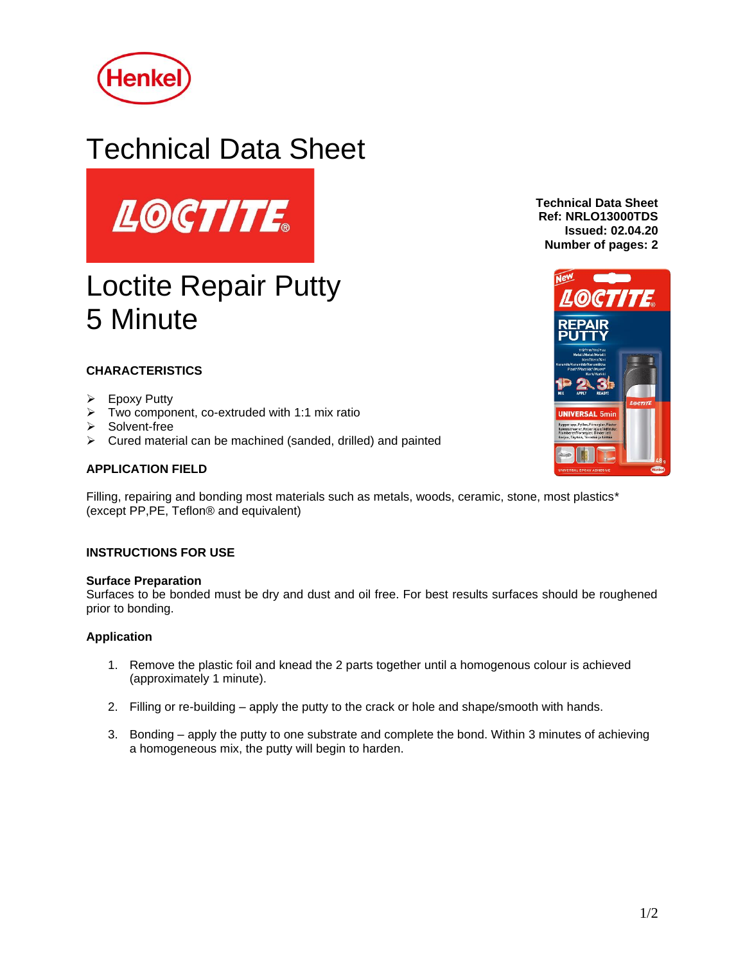

# Technical Data Sheet



# Loctite Repair Putty 5 Minute

# **CHARACTERISTICS**

- ➢ Epoxy Putty
- $\triangleright$  Two component, co-extruded with 1:1 mix ratio
- ➢ Solvent-free
- ➢ Cured material can be machined (sanded, drilled) and painted

# **APPLICATION FIELD**

Filling, repairing and bonding most materials such as metals, woods, ceramic, stone, most plastics\* (except PP,PE, Teflon® and equivalent)

## **INSTRUCTIONS FOR USE**

#### **Surface Preparation**

Surfaces to be bonded must be dry and dust and oil free. For best results surfaces should be roughened prior to bonding.

#### **Application**

- 1. Remove the plastic foil and knead the 2 parts together until a homogenous colour is achieved (approximately 1 minute).
- 2. Filling or re-building apply the putty to the crack or hole and shape/smooth with hands.
- 3. Bonding apply the putty to one substrate and complete the bond. Within 3 minutes of achieving a homogeneous mix, the putty will begin to harden.

**Technical Data Sheet Ref: NRLO13000TDS Issued: 02.04.20 Number of pages: 2**